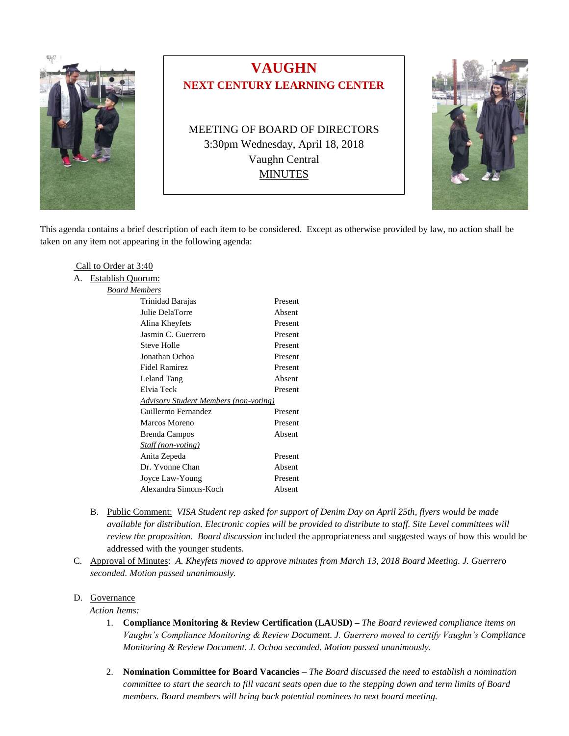

# **VAUGHN NEXT CENTURY LEARNING CENTER**

MEETING OF BOARD OF DIRECTORS 3:30pm Wednesday, April 18, 2018 Vaughn Central **MINUTES** 



This agenda contains a brief description of each item to be considered. Except as otherwise provided by law, no action shall be taken on any item not appearing in the following agenda:

#### Call to Order at 3:40

| А. | <b>Establish Quorum:</b>                     |         |
|----|----------------------------------------------|---------|
|    | Board Members                                |         |
|    | Trinidad Barajas                             | Present |
|    | Julie DelaTorre                              | Absent  |
|    | Alina Kheyfets                               | Present |
|    | Jasmin C. Guerrero                           | Present |
|    | Steve Holle                                  | Present |
|    | Jonathan Ochoa                               | Present |
|    | Fidel Ramirez                                | Present |
|    | Leland Tang                                  | Absent  |
|    | Elvia Teck                                   | Present |
|    | <b>Advisory Student Members (non-voting)</b> |         |
|    | Guillermo Fernandez                          | Present |
|    | Marcos Moreno                                | Present |
|    | Brenda Campos                                | Absent  |
|    | Staff (non-voting)                           |         |
|    | Anita Zepeda                                 | Present |
|    | Dr. Yvonne Chan                              | Absent  |
|    | Joyce Law-Young                              | Present |
|    | Alexandra Simons-Koch                        | Absent  |
|    |                                              |         |

- B. Public Comment: *VISA Student rep asked for support of Denim Day on April 25th, flyers would be made available for distribution. Electronic copies will be provided to distribute to staff. Site Level committees will review the proposition. Board discussion* included the appropriateness and suggested ways of how this would be addressed with the younger students.
- C. Approval of Minutes: *A. Kheyfets moved to approve minutes from March 13, 2018 Board Meeting. J. Guerrero seconded. Motion passed unanimously.*

# D. Governance

- *Action Items:*
	- 1. **Compliance Monitoring & Review Certification (LAUSD) –** *The Board reviewed compliance items on Vaughn's Compliance Monitoring & Review Document*. *J. Guerrero moved to certify Vaughn's Compliance Monitoring & Review Document. J. Ochoa seconded. Motion passed unanimously.*
	- 2. **Nomination Committee for Board Vacancies** *– The Board discussed the need to establish a nomination committee to start the search to fill vacant seats open due to the stepping down and term limits of Board members. Board members will bring back potential nominees to next board meeting.*